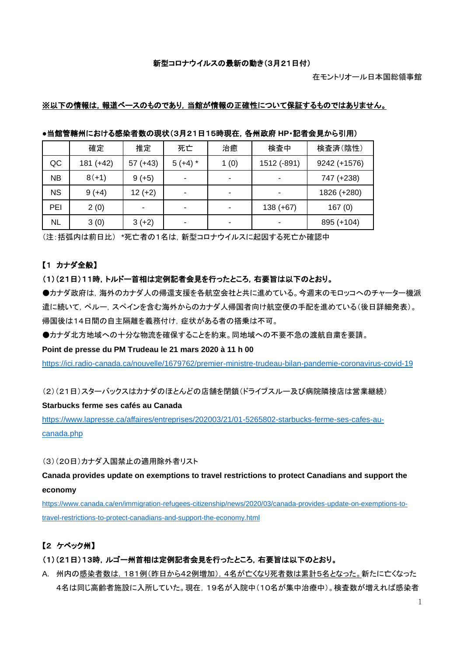#### 新型コロナウイルスの最新の動き(3月21日付)

#### ※以下の情報は,報道ベースのものであり,当館が情報の正確性について保証するものではありません。

|           | 確定        | 推定         | 死亡                       | 治癒   | 検査中         | 検査済(陰性)      |
|-----------|-----------|------------|--------------------------|------|-------------|--------------|
| QC        | 181 (+42) | $57 (+43)$ | $5 (+4)$ *               | 1(0) | 1512 (-891) | 9242 (+1576) |
| <b>NB</b> | $8(+1)$   | $9 (+5)$   | $\overline{\phantom{0}}$ | -    |             | 747 (+238)   |
| <b>NS</b> | $9 (+4)$  | $12 (+2)$  | $\blacksquare$           | ٠    |             | 1826 (+280)  |
| PEI       | 2(0)      |            | $\overline{\phantom{a}}$ |      | $138 (+67)$ | 167(0)       |
| NL        | 3(0)      | $3 (+2)$   |                          |      |             | 895 (+104)   |

**●**当館管轄州における感染者数の現状(3月21日15時現在,各州政府 **HP**・記者会見から引用)

(注:括弧内は前日比) \*死亡者の1名は,新型コロナウイルスに起因する死亡か確認中

#### 【1 カナダ全般】

#### (1)(21日)11時,トルドー首相は定例記者会見を行ったところ,右要旨は以下のとおり。

●カナダ政府は,海外のカナダ人の帰還支援を各航空会社と共に進めている。今週末のモロッコへのチャーター機派 遣に続いて,ペルー,スペインを含む海外からのカナダ人帰国者向け航空便の手配を進めている(後日詳細発表)。 帰国後は14日間の自主隔離を義務付け,症状がある者の搭乗は不可。

●カナダ北方地域への十分な物流を確保することを約束。同地域への不要不急の渡航自粛を要請。

#### **Point de presse du PM Trudeau le 21 mars 2020 à 11 h 00**

<https://ici.radio-canada.ca/nouvelle/1679762/premier-ministre-trudeau-bilan-pandemie-coronavirus-covid-19>

(2)(21日)スターバックスはカナダのほとんどの店舗を閉鎖(ドライブスルー及び病院隣接店は営業継続)

#### **Starbucks ferme ses cafés au Canada**

[https://www.lapresse.ca/affaires/entreprises/202003/21/01-5265802-starbucks-ferme-ses-cafes-au](https://www.lapresse.ca/affaires/entreprises/202003/21/01-5265802-starbucks-ferme-ses-cafes-au-canada.php)[canada.php](https://www.lapresse.ca/affaires/entreprises/202003/21/01-5265802-starbucks-ferme-ses-cafes-au-canada.php)

(3)(20日)カナダ入国禁止の適用除外者リスト

**Canada provides update on exemptions to travel restrictions to protect Canadians and support the economy**

[https://www.canada.ca/en/immigration-refugees-citizenship/news/2020/03/canada-provides-update-on-exemptions-to](https://www.canada.ca/en/immigration-refugees-citizenship/news/2020/03/canada-provides-update-on-exemptions-to-travel-restrictions-to-protect-canadians-and-support-the-economy.html)[travel-restrictions-to-protect-canadians-and-support-the-economy.html](https://www.canada.ca/en/immigration-refugees-citizenship/news/2020/03/canada-provides-update-on-exemptions-to-travel-restrictions-to-protect-canadians-and-support-the-economy.html)

### 【2 ケベック州】

#### (1)(21日)13時,ルゴー州首相は定例記者会見を行ったところ,右要旨は以下のとおり。

A. 州内の感染者数は,181例(昨日から42例増加),4名が亡くなり死者数は累計5名となった。新たに亡くなった 4名は同じ高齢者施設に入所していた。現在,19名が入院中(10名が集中治療中)。検査数が増えれば感染者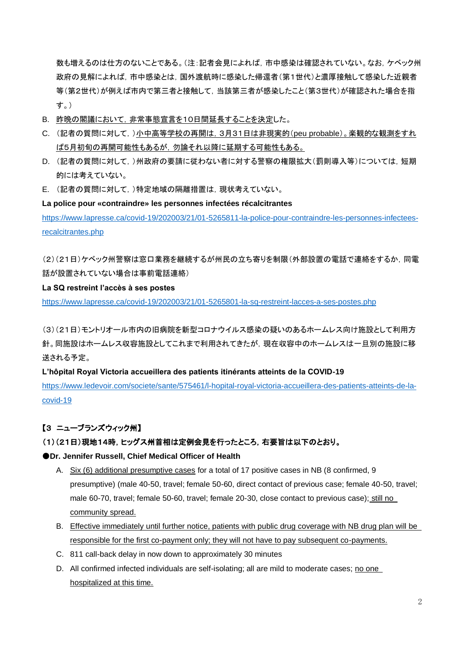数も増えるのは仕方のないことである。(注:記者会見によれば,市中感染は確認されていない。なお,ケベック州 政府の見解によれば、市中感染とは、国外渡航時に感染した帰還者(第1世代)と濃厚接触して感染した近親者 等(第2世代)が例えば市内で第三者と接触して,当該第三者が感染したこと(第3世代)が確認された場合を指 す。)

- B. 昨晩の閣議において,非常事態宣言を10日間延長することを決定した。
- C. (記者の質問に対して,)小中高等学校の再開は,3月31日は非現実的(peu probable)。楽観的な観測をすれ ば5月初旬の再開可能性もあるが,勿論それ以降に延期する可能性もある。
- D. (記者の質問に対して,)州政府の要請に従わない者に対する警察の権限拡大(罰則導入等)については,短期 的には考えていない。
- E. (記者の質問に対して,)特定地域の隔離措置は,現状考えていない。

**La police pour «contraindre» les personnes infectées récalcitrantes** [https://www.lapresse.ca/covid-19/202003/21/01-5265811-la-police-pour-contraindre-les-personnes-infectees](https://www.lapresse.ca/covid-19/202003/21/01-5265811-la-police-pour-contraindre-les-personnes-infectees-recalcitrantes.php)[recalcitrantes.php](https://www.lapresse.ca/covid-19/202003/21/01-5265811-la-police-pour-contraindre-les-personnes-infectees-recalcitrantes.php)

(2)(21日)ケベック州警察は窓口業務を継続するが州民の立ち寄りを制限(外部設置の電話で連絡をするか,同電 話が設置されていない場合は事前電話連絡)

## **La SQ restreint l'accès à ses postes**

<https://www.lapresse.ca/covid-19/202003/21/01-5265801-la-sq-restreint-lacces-a-ses-postes.php>

(3)(21日)モントリオール市内の旧病院を新型コロナウイルス感染の疑いのあるホームレス向け施設として利用方 針。同施設はホームレス収容施設としてこれまで利用されてきたが,現在収容中のホームレスは一旦別の施設に移 送される予定。

**L'hôpital Royal Victoria accueillera des patients itinérants atteints de la COVID-19** 

[https://www.ledevoir.com/societe/sante/575461/l-hopital-royal-victoria-accueillera-des-patients-atteints-de-la](https://www.ledevoir.com/societe/sante/575461/l-hopital-royal-victoria-accueillera-des-patients-atteints-de-la-covid-19)[covid-19](https://www.ledevoir.com/societe/sante/575461/l-hopital-royal-victoria-accueillera-des-patients-atteints-de-la-covid-19)

# 【3 ニューブランズウィック州】

# (1)(21日)現地14時,ヒッグス州首相は定例会見を行ったところ,右要旨は以下のとおり。

# ●**Dr. Jennifer Russell, Chief Medical Officer of Health**

- A. Six (6) additional presumptive cases for a total of 17 positive cases in NB (8 confirmed, 9 presumptive) (male 40-50, travel; female 50-60, direct contact of previous case; female 40-50, travel; male 60-70, travel; female 50-60, travel; female 20-30, close contact to previous case); still no community spread.
- B. Effective immediately until further notice, patients with public drug coverage with NB drug plan will be responsible for the first co-payment only; they will not have to pay subsequent co-payments.
- C. 811 call-back delay in now down to approximately 30 minutes
- D. All confirmed infected individuals are self-isolating; all are mild to moderate cases; no one hospitalized at this time.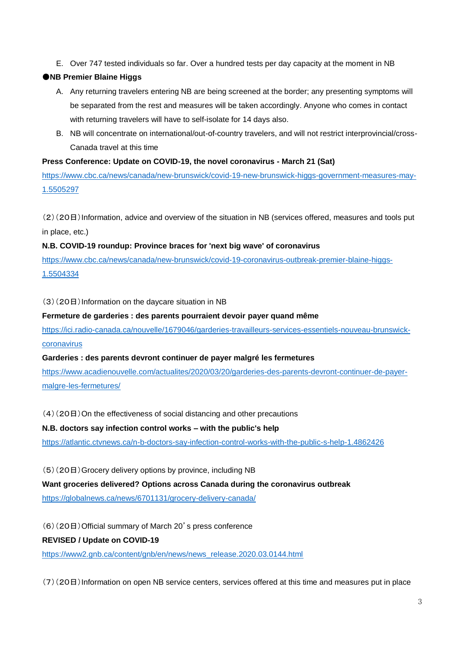E. Over 747 tested individuals so far. Over a hundred tests per day capacity at the moment in NB

### ●**NB Premier Blaine Higgs**

- A. Any returning travelers entering NB are being screened at the border; any presenting symptoms will be separated from the rest and measures will be taken accordingly. Anyone who comes in contact with returning travelers will have to self-isolate for 14 days also.
- B. NB will concentrate on international/out-of-country travelers, and will not restrict interprovincial/cross-Canada travel at this time

#### **Press Conference: Update on COVID-19, the novel coronavirus - March 21 (Sat)**

[https://www.cbc.ca/news/canada/new-brunswick/covid-19-new-brunswick-higgs-government-measures-may-](https://www.cbc.ca/news/canada/new-brunswick/covid-19-new-brunswick-higgs-government-measures-may-1.5505297)[1.5505297](https://www.cbc.ca/news/canada/new-brunswick/covid-19-new-brunswick-higgs-government-measures-may-1.5505297)

(2)(20日)Information, advice and overview of the situation in NB (services offered, measures and tools put in place, etc.)

#### **N.B. COVID-19 roundup: Province braces for 'next big wave' of coronavirus**

[https://www.cbc.ca/news/canada/new-brunswick/covid-19-coronavirus-outbreak-premier-blaine-higgs-](https://www.cbc.ca/news/canada/new-brunswick/covid-19-coronavirus-outbreak-premier-blaine-higgs-1.5504334)[1.5504334](https://www.cbc.ca/news/canada/new-brunswick/covid-19-coronavirus-outbreak-premier-blaine-higgs-1.5504334)

(3)(20日)Information on the daycare situation in NB

#### **Fermeture de garderies : des parents pourraient devoir payer quand même**

[https://ici.radio-canada.ca/nouvelle/1679046/garderies-travailleurs-services-essentiels-nouveau-brunswick](https://ici.radio-canada.ca/nouvelle/1679046/garderies-travailleurs-services-essentiels-nouveau-brunswick-coronavirus)[coronavirus](https://ici.radio-canada.ca/nouvelle/1679046/garderies-travailleurs-services-essentiels-nouveau-brunswick-coronavirus)

#### **Garderies : des parents devront continuer de payer malgré les fermetures**

[https://www.acadienouvelle.com/actualites/2020/03/20/garderies-des-parents-devront-continuer-de-payer](https://www.acadienouvelle.com/actualites/2020/03/20/garderies-des-parents-devront-continuer-de-payer-malgre-les-fermetures/)[malgre-les-fermetures/](https://www.acadienouvelle.com/actualites/2020/03/20/garderies-des-parents-devront-continuer-de-payer-malgre-les-fermetures/)

(4)(20日)On the effectiveness of social distancing and other precautions

#### **N.B. doctors say infection control works – with the public's help**

<https://atlantic.ctvnews.ca/n-b-doctors-say-infection-control-works-with-the-public-s-help-1.4862426>

(5)(20日)Grocery delivery options by province, including NB

# **Want groceries delivered? Options across Canada during the coronavirus outbreak**

<https://globalnews.ca/news/6701131/grocery-delivery-canada/>

(6)(20日)Official summary of March 20's press conference

#### **REVISED / Update on COVID-19**

[https://www2.gnb.ca/content/gnb/en/news/news\\_release.2020.03.0144.html](https://www2.gnb.ca/content/gnb/en/news/news_release.2020.03.0144.html)

(7)(20日)Information on open NB service centers, services offered at this time and measures put in place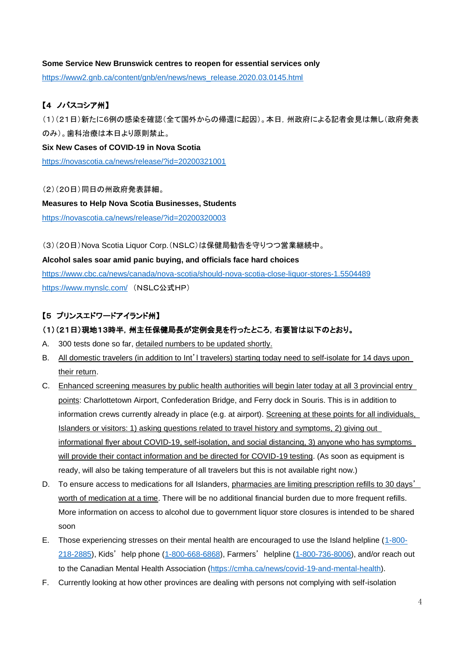#### **Some Service New Brunswick centres to reopen for essential services only**

[https://www2.gnb.ca/content/gnb/en/news/news\\_release.2020.03.0145.html](https://www2.gnb.ca/content/gnb/en/news/news_release.2020.03.0145.html)

# 【4 ノバスコシア州】

(1)(21日)新たに6例の感染を確認(全て国外からの帰還に起因)。本日,州政府による記者会見は無し(政府発表 のみ)。歯科治療は本日より原則禁止。

**Six New Cases of COVID-19 in Nova Scotia** <https://novascotia.ca/news/release/?id=20200321001>

(2)(20日)同日の州政府発表詳細。 **Measures to Help Nova Scotia Businesses, Students** <https://novascotia.ca/news/release/?id=20200320003>

(3)(20日)Nova Scotia Liquor Corp.(NSLC)は保健局勧告を守りつつ営業継続中。

**Alcohol sales soar amid panic buying, and officials face hard choices** <https://www.cbc.ca/news/canada/nova-scotia/should-nova-scotia-close-liquor-stores-1.5504489> <https://www.mynslc.com/> (NSLC公式HP)

# 【5 プリンスエドワードアイランド州】

# (1)(21日)現地13時半,州主任保健局長が定例会見を行ったところ,右要旨は以下のとおり。

- A. 300 tests done so far, detailed numbers to be updated shortly.
- B. All domestic travelers (in addition to Int'l travelers) starting today need to self-isolate for 14 days upon their return.
- C. Enhanced screening measures by public health authorities will begin later today at all 3 provincial entry points: Charlottetown Airport, Confederation Bridge, and Ferry dock in Souris. This is in addition to information crews currently already in place (e.g. at airport). Screening at these points for all individuals, Islanders or visitors: 1) asking questions related to travel history and symptoms, 2) giving out informational flyer about COVID-19, self-isolation, and social distancing, 3) anyone who has symptoms will provide their contact information and be directed for COVID-19 testing. (As soon as equipment is ready, will also be taking temperature of all travelers but this is not available right now.)
- D. To ensure access to medications for all Islanders, pharmacies are limiting prescription refills to 30 days' worth of medication at a time. There will be no additional financial burden due to more frequent refills. More information on access to alcohol due to government liquor store closures is intended to be shared soon
- E. Those experiencing stresses on their mental health are encouraged to use the Island helpline [\(1-800-](tel:1-800-218-2885) [218-2885\)](tel:1-800-218-2885), Kids' help phone [\(1-800-668-6868\)](tel:1-800-668-6868), Farmers' helpline [\(1-800-736-8006\)](tel:1-800-736-8006), and/or reach out to the Canadian Mental Health Association [\(https://cmha.ca/news/covid-19-and-mental-health\)](https://cmha.ca/news/covid-19-and-mental-health).
- F. Currently looking at how other provinces are dealing with persons not complying with self-isolation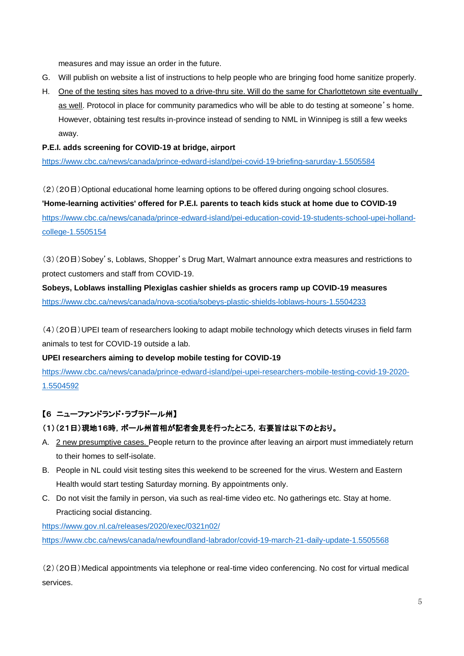measures and may issue an order in the future.

- G. Will publish on website a list of instructions to help people who are bringing food home sanitize properly.
- H. One of the testing sites has moved to a drive-thru site. Will do the same for Charlottetown site eventually as well. Protocol in place for community paramedics who will be able to do testing at someone's home. However, obtaining test results in-province instead of sending to NML in Winnipeg is still a few weeks away.

#### **P.E.I. adds screening for COVID-19 at bridge, airport**

<https://www.cbc.ca/news/canada/prince-edward-island/pei-covid-19-briefing-sarurday-1.5505584>

(2)(20日)Optional educational home learning options to be offered during ongoing school closures. **'Home-learning activities' offered for P.E.I. parents to teach kids stuck at home due to COVID-19** [https://www.cbc.ca/news/canada/prince-edward-island/pei-education-covid-19-students-school-upei-holland](https://www.cbc.ca/news/canada/prince-edward-island/pei-education-covid-19-students-school-upei-holland-college-1.5505154)[college-1.5505154](https://www.cbc.ca/news/canada/prince-edward-island/pei-education-covid-19-students-school-upei-holland-college-1.5505154)

(3)(20日)Sobey's, Loblaws, Shopper's Drug Mart, Walmart announce extra measures and restrictions to protect customers and staff from COVID-19.

**Sobeys, Loblaws installing Plexiglas cashier shields as grocers ramp up COVID-19 measures** <https://www.cbc.ca/news/canada/nova-scotia/sobeys-plastic-shields-loblaws-hours-1.5504233>

(4)(20日)UPEI team of researchers looking to adapt mobile technology which detects viruses in field farm animals to test for COVID-19 outside a lab.

#### **UPEI researchers aiming to develop mobile testing for COVID-19**

[https://www.cbc.ca/news/canada/prince-edward-island/pei-upei-researchers-mobile-testing-covid-19-2020-](https://www.cbc.ca/news/canada/prince-edward-island/pei-upei-researchers-mobile-testing-covid-19-2020-1.5504592) [1.5504592](https://www.cbc.ca/news/canada/prince-edward-island/pei-upei-researchers-mobile-testing-covid-19-2020-1.5504592)

# 【6 ニューファンドランド・ラブラドール州】

### (1)(21日)現地16時,ボール州首相が記者会見を行ったところ,右要旨は以下のとおり。

- A. 2 new presumptive cases. People return to the province after leaving an airport must immediately return to their homes to self-isolate.
- B. People in NL could visit testing sites this weekend to be screened for the virus. Western and Eastern Health would start testing Saturday morning. By appointments only.
- C. Do not visit the family in person, via such as real-time video etc. No gatherings etc. Stay at home. Practicing social distancing.

<https://www.gov.nl.ca/releases/2020/exec/0321n02/> <https://www.cbc.ca/news/canada/newfoundland-labrador/covid-19-march-21-daily-update-1.5505568>

(2)(20日)Medical appointments via telephone or real-time video conferencing. No cost for virtual medical services.